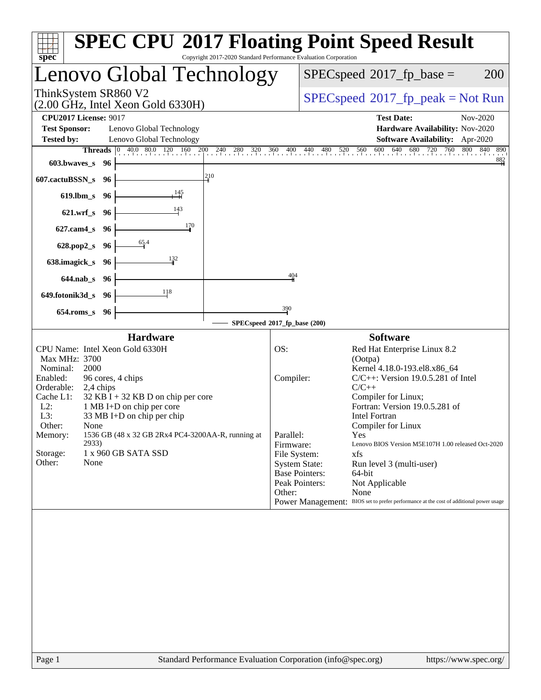| spec <sup>®</sup>                                                                                                                                                                                                                                                                                                                                                                                                                    | <b>SPEC CPU®2017 Floating Point Speed Result</b><br>Copyright 2017-2020 Standard Performance Evaluation Corporation                                                                                                                                                                                                                                                                                                                                                                                                                                                                                                            |  |  |  |  |
|--------------------------------------------------------------------------------------------------------------------------------------------------------------------------------------------------------------------------------------------------------------------------------------------------------------------------------------------------------------------------------------------------------------------------------------|--------------------------------------------------------------------------------------------------------------------------------------------------------------------------------------------------------------------------------------------------------------------------------------------------------------------------------------------------------------------------------------------------------------------------------------------------------------------------------------------------------------------------------------------------------------------------------------------------------------------------------|--|--|--|--|
| Lenovo Global Technology                                                                                                                                                                                                                                                                                                                                                                                                             | $SPEC speed^{\circ}2017\_fp\_base =$<br><b>200</b>                                                                                                                                                                                                                                                                                                                                                                                                                                                                                                                                                                             |  |  |  |  |
| ThinkSystem SR860 V2<br>$(2.00 \text{ GHz}, \text{Intel Xeon Gold } 6330\text{H})$                                                                                                                                                                                                                                                                                                                                                   | $SPEC speed^{\circ}2017\_fp\_peak = Not Run$                                                                                                                                                                                                                                                                                                                                                                                                                                                                                                                                                                                   |  |  |  |  |
| <b>CPU2017 License: 9017</b><br><b>Test Sponsor:</b><br>Lenovo Global Technology<br><b>Tested by:</b><br>Lenovo Global Technology<br>$603.bwaves$ $96$                                                                                                                                                                                                                                                                               | <b>Test Date:</b><br>Nov-2020<br>Hardware Availability: Nov-2020<br>Software Availability: Apr-2020<br><b>Threads</b> 0 40.0 80.0 120 160 200 240 280 320 360 400 440 480 520 560 600 640 680 720 760 800 840<br>890<br>882                                                                                                                                                                                                                                                                                                                                                                                                    |  |  |  |  |
| 210<br>607.cactuBSSN_s 96<br>619.lbm_s 96<br>621.wrf_s 96                                                                                                                                                                                                                                                                                                                                                                            |                                                                                                                                                                                                                                                                                                                                                                                                                                                                                                                                                                                                                                |  |  |  |  |
| $\frac{170}{2}$<br>627.cam4_s 96<br>628.pop2_s 96<br>638.imagick_s 96                                                                                                                                                                                                                                                                                                                                                                |                                                                                                                                                                                                                                                                                                                                                                                                                                                                                                                                                                                                                                |  |  |  |  |
| 644.nab s 96<br>118<br>649.fotonik3d_s 96<br>654.roms_s 96                                                                                                                                                                                                                                                                                                                                                                           | 404<br>390                                                                                                                                                                                                                                                                                                                                                                                                                                                                                                                                                                                                                     |  |  |  |  |
|                                                                                                                                                                                                                                                                                                                                                                                                                                      | SPECspeed®2017_fp_base (200)                                                                                                                                                                                                                                                                                                                                                                                                                                                                                                                                                                                                   |  |  |  |  |
| <b>Hardware</b><br>CPU Name: Intel Xeon Gold 6330H<br>Max MHz: 3700<br>Nominal:<br>2000<br>Enabled:<br>96 cores, 4 chips<br>Orderable:<br>2,4 chips<br>Cache L1:<br>$32$ KB I + 32 KB D on chip per core<br>$L2$ :<br>1 MB I+D on chip per core<br>L3:<br>33 MB I+D on chip per chip<br>Other:<br>None<br>1536 GB (48 x 32 GB 2Rx4 PC4-3200AA-R, running at<br>Memory:<br>2933)<br>Storage:<br>1 x 960 GB SATA SSD<br>Other:<br>None | <b>Software</b><br>OS:<br>Red Hat Enterprise Linux 8.2<br>(Ootpa)<br>Kernel 4.18.0-193.el8.x86_64<br>Compiler:<br>$C/C++$ : Version 19.0.5.281 of Intel<br>$C/C++$<br>Compiler for Linux;<br>Fortran: Version 19.0.5.281 of<br><b>Intel Fortran</b><br>Compiler for Linux<br>Parallel:<br>Yes<br>Lenovo BIOS Version M5E107H 1.00 released Oct-2020<br>Firmware:<br>File System:<br>xfs<br><b>System State:</b><br>Run level 3 (multi-user)<br><b>Base Pointers:</b><br>64-bit<br>Peak Pointers:<br>Not Applicable<br>None<br>Other:<br>Power Management: BIOS set to prefer performance at the cost of additional power usage |  |  |  |  |
|                                                                                                                                                                                                                                                                                                                                                                                                                                      |                                                                                                                                                                                                                                                                                                                                                                                                                                                                                                                                                                                                                                |  |  |  |  |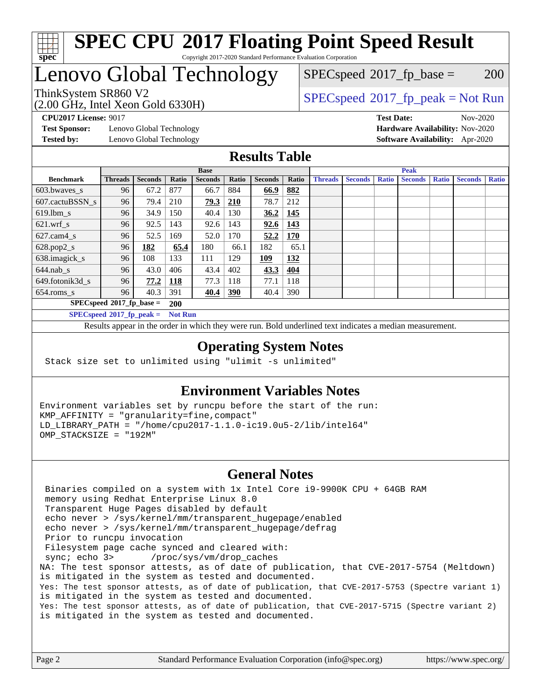

# **[SPEC CPU](http://www.spec.org/auto/cpu2017/Docs/result-fields.html#SPECCPU2017FloatingPointSpeedResult)[2017 Floating Point Speed Result](http://www.spec.org/auto/cpu2017/Docs/result-fields.html#SPECCPU2017FloatingPointSpeedResult)**

Copyright 2017-2020 Standard Performance Evaluation Corporation

## Lenovo Global Technology

 $SPECspeed^{\circledcirc}2017_fp\_base = 200$  $SPECspeed^{\circledcirc}2017_fp\_base = 200$ 

(2.00 GHz, Intel Xeon Gold 6330H)

ThinkSystem SR860 V2 [SPECspeed](http://www.spec.org/auto/cpu2017/Docs/result-fields.html#SPECspeed2017fppeak)[2017\\_fp\\_peak = N](http://www.spec.org/auto/cpu2017/Docs/result-fields.html#SPECspeed2017fppeak)ot Run

**[Test Sponsor:](http://www.spec.org/auto/cpu2017/Docs/result-fields.html#TestSponsor)** Lenovo Global Technology **[Hardware Availability:](http://www.spec.org/auto/cpu2017/Docs/result-fields.html#HardwareAvailability)** Nov-2020 **[Tested by:](http://www.spec.org/auto/cpu2017/Docs/result-fields.html#Testedby)** Lenovo Global Technology **[Software Availability:](http://www.spec.org/auto/cpu2017/Docs/result-fields.html#SoftwareAvailability)** Apr-2020

**[CPU2017 License:](http://www.spec.org/auto/cpu2017/Docs/result-fields.html#CPU2017License)** 9017 **[Test Date:](http://www.spec.org/auto/cpu2017/Docs/result-fields.html#TestDate)** Nov-2020

#### **[Results Table](http://www.spec.org/auto/cpu2017/Docs/result-fields.html#ResultsTable)**

|                             | <b>Base</b>                 |                |                |                |            | <b>Peak</b>    |            |                |                |              |                |              |                |              |
|-----------------------------|-----------------------------|----------------|----------------|----------------|------------|----------------|------------|----------------|----------------|--------------|----------------|--------------|----------------|--------------|
| <b>Benchmark</b>            | <b>Threads</b>              | <b>Seconds</b> | Ratio          | <b>Seconds</b> | Ratio      | <b>Seconds</b> | Ratio      | <b>Threads</b> | <b>Seconds</b> | <b>Ratio</b> | <b>Seconds</b> | <b>Ratio</b> | <b>Seconds</b> | <b>Ratio</b> |
| $603.bwaves$ s              | 96                          | 67.2           | 877            | 66.7           | 884        | 66.9           | 882        |                |                |              |                |              |                |              |
| 607.cactuBSSN s             | 96                          | 79.4           | 210            | 79.3           | 210        | 78.7           | 212        |                |                |              |                |              |                |              |
| $619.1$ bm s                | 96                          | 34.9           | 150            | 40.4           | 130        | 36.2           | 145        |                |                |              |                |              |                |              |
| $621.wrf$ s                 | 96                          | 92.5           | 143            | 92.6           | 143        | 92.6           | 143        |                |                |              |                |              |                |              |
| $627$ .cam4 s               | 96                          | 52.5           | 169            | 52.0           | 170        | 52.2           | <b>170</b> |                |                |              |                |              |                |              |
| $628.pop2_s$                | 96                          | 182            | 65.4           | 180            | 66.1       | 182            | 65.1       |                |                |              |                |              |                |              |
| 638.imagick_s               | 96                          | 108            | 133            | 111            | 129        | 109            | 132        |                |                |              |                |              |                |              |
| $644$ .nab s                | 96                          | 43.0           | 406            | 43.4           | 402        | 43.3           | 404        |                |                |              |                |              |                |              |
| 649.fotonik3d s             | 96                          | 77.2           | <u>118</u>     | 77.3           | 118        | 77.1           | 118        |                |                |              |                |              |                |              |
| $654$ .roms s               | 96                          | 40.3           | 391            | 40.4           | <b>390</b> | 40.4           | 390        |                |                |              |                |              |                |              |
|                             | $SPECspeed*2017_fp\_base =$ |                | <b>200</b>     |                |            |                |            |                |                |              |                |              |                |              |
| $SPECspeed*2017_fp\_peak =$ |                             |                | <b>Not Run</b> |                |            |                |            |                |                |              |                |              |                |              |

Results appear in the [order in which they were run.](http://www.spec.org/auto/cpu2017/Docs/result-fields.html#RunOrder) Bold underlined text [indicates a median measurement](http://www.spec.org/auto/cpu2017/Docs/result-fields.html#Median).

#### **[Operating System Notes](http://www.spec.org/auto/cpu2017/Docs/result-fields.html#OperatingSystemNotes)**

Stack size set to unlimited using "ulimit -s unlimited"

#### **[Environment Variables Notes](http://www.spec.org/auto/cpu2017/Docs/result-fields.html#EnvironmentVariablesNotes)**

Environment variables set by runcpu before the start of the run: KMP\_AFFINITY = "granularity=fine,compact" LD\_LIBRARY\_PATH = "/home/cpu2017-1.1.0-ic19.0u5-2/lib/intel64" OMP\_STACKSIZE = "192M"

#### **[General Notes](http://www.spec.org/auto/cpu2017/Docs/result-fields.html#GeneralNotes)**

 Binaries compiled on a system with 1x Intel Core i9-9900K CPU + 64GB RAM memory using Redhat Enterprise Linux 8.0 Transparent Huge Pages disabled by default echo never > /sys/kernel/mm/transparent\_hugepage/enabled echo never > /sys/kernel/mm/transparent\_hugepage/defrag Prior to runcpu invocation Filesystem page cache synced and cleared with: sync; echo 3> /proc/sys/vm/drop\_caches NA: The test sponsor attests, as of date of publication, that CVE-2017-5754 (Meltdown) is mitigated in the system as tested and documented. Yes: The test sponsor attests, as of date of publication, that CVE-2017-5753 (Spectre variant 1) is mitigated in the system as tested and documented. Yes: The test sponsor attests, as of date of publication, that CVE-2017-5715 (Spectre variant 2) is mitigated in the system as tested and documented.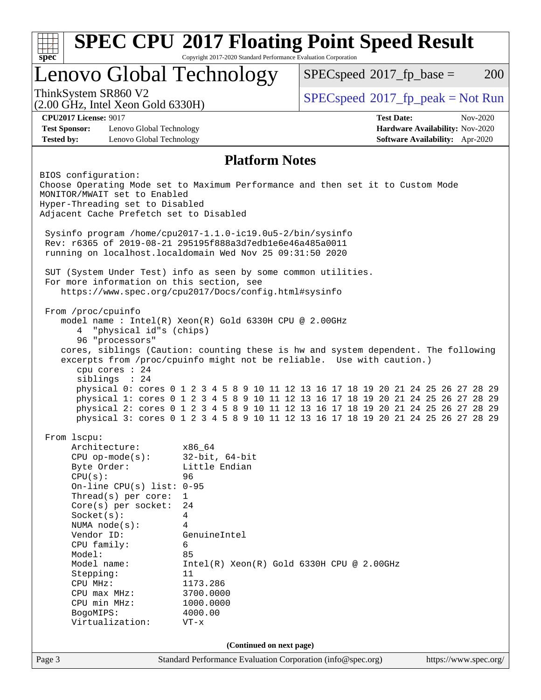| <b>SPEC CPU®2017 Floating Point Speed Result</b><br>Copyright 2017-2020 Standard Performance Evaluation Corporation<br>$spec^*$                                                                                                                                    |                                                                         |                                                                                                                                                                                                                                                                                                                                                                                                                                                                                                                                                                               |                          |  |  |                                     |                                                                                  |                       |
|--------------------------------------------------------------------------------------------------------------------------------------------------------------------------------------------------------------------------------------------------------------------|-------------------------------------------------------------------------|-------------------------------------------------------------------------------------------------------------------------------------------------------------------------------------------------------------------------------------------------------------------------------------------------------------------------------------------------------------------------------------------------------------------------------------------------------------------------------------------------------------------------------------------------------------------------------|--------------------------|--|--|-------------------------------------|----------------------------------------------------------------------------------|-----------------------|
| Lenovo Global Technology                                                                                                                                                                                                                                           |                                                                         |                                                                                                                                                                                                                                                                                                                                                                                                                                                                                                                                                                               |                          |  |  | $SPEC speed^{\circ}2017$ _fp_base = |                                                                                  | <b>200</b>            |
| ThinkSystem SR860 V2<br>$(2.00 \text{ GHz}, \text{Intel Xeon Gold } 6330\text{H})$                                                                                                                                                                                 |                                                                         |                                                                                                                                                                                                                                                                                                                                                                                                                                                                                                                                                                               |                          |  |  |                                     | $SPEC speed@2017_fp\_peak = Not Run$                                             |                       |
| <b>CPU2017 License: 9017</b><br><b>Test Sponsor:</b><br><b>Tested by:</b>                                                                                                                                                                                          | Lenovo Global Technology<br>Lenovo Global Technology                    |                                                                                                                                                                                                                                                                                                                                                                                                                                                                                                                                                                               |                          |  |  | <b>Test Date:</b>                   | <b>Hardware Availability: Nov-2020</b><br><b>Software Availability:</b> Apr-2020 | Nov-2020              |
|                                                                                                                                                                                                                                                                    |                                                                         |                                                                                                                                                                                                                                                                                                                                                                                                                                                                                                                                                                               | <b>Platform Notes</b>    |  |  |                                     |                                                                                  |                       |
| BIOS configuration:<br>MONITOR/MWAIT set to Enabled<br>Hyper-Threading set to Disabled<br>Adjacent Cache Prefetch set to Disabled                                                                                                                                  |                                                                         | Choose Operating Mode set to Maximum Performance and then set it to Custom Mode<br>Sysinfo program /home/cpu2017-1.1.0-ic19.0u5-2/bin/sysinfo<br>Rev: r6365 of 2019-08-21 295195f888a3d7edble6e46a485a0011                                                                                                                                                                                                                                                                                                                                                                    |                          |  |  |                                     |                                                                                  |                       |
|                                                                                                                                                                                                                                                                    |                                                                         | running on localhost.localdomain Wed Nov 25 09:31:50 2020                                                                                                                                                                                                                                                                                                                                                                                                                                                                                                                     |                          |  |  |                                     |                                                                                  |                       |
|                                                                                                                                                                                                                                                                    |                                                                         | SUT (System Under Test) info as seen by some common utilities.<br>For more information on this section, see<br>https://www.spec.org/cpu2017/Docs/config.html#sysinfo                                                                                                                                                                                                                                                                                                                                                                                                          |                          |  |  |                                     |                                                                                  |                       |
| From /proc/cpuinfo<br>4<br>siblings : 24                                                                                                                                                                                                                           | "physical id"s (chips)<br>96 "processors"<br>cpu cores : 24             | model name: $Intel(R)$ Xeon $(R)$ Gold 6330H CPU @ 2.00GHz<br>cores, siblings (Caution: counting these is hw and system dependent. The following<br>excerpts from /proc/cpuinfo might not be reliable. Use with caution.)<br>physical 0: cores 0 1 2 3 4 5 8 9 10 11 12 13 16 17 18 19 20 21 24 25 26 27 28 29<br>physical 1: cores 0 1 2 3 4 5 8 9 10 11 12 13 16 17 18 19 20 21 24 25 26 27 28 29<br>physical 2: cores 0 1 2 3 4 5 8 9 10 11 12 13 16 17 18 19 20 21 24 25 26 27 28 29<br>physical 3: cores 0 1 2 3 4 5 8 9 10 11 12 13 16 17 18 19 20 21 24 25 26 27 28 29 |                          |  |  |                                     |                                                                                  |                       |
| From 1scpu:<br>Architecture:<br>$CPU$ op-mode $(s)$ :<br>Byte Order:<br>CPU(s):<br>$Socket(s)$ :<br>NUMA $node(s):$<br>Vendor ID:<br>CPU family:<br>Model:<br>Model name:<br>Stepping:<br>CPU MHz:<br>CPU max MHz:<br>CPU min MHz:<br>BogoMIPS:<br>Virtualization: | On-line CPU(s) list: 0-95<br>Thread(s) per core:<br>Core(s) per socket: | x86_64<br>$32$ -bit, $64$ -bit<br>Little Endian<br>96<br>$\mathbf{1}$<br>24<br>4<br>4<br>GenuineIntel<br>6<br>85<br>$Intel(R) Xeon(R) Gold 6330H CPU @ 2.00GHz$<br>11<br>1173.286<br>3700.0000<br>1000.0000<br>4000.00<br>$VT - x$                                                                                                                                                                                                                                                                                                                                            |                          |  |  |                                     |                                                                                  |                       |
|                                                                                                                                                                                                                                                                    |                                                                         |                                                                                                                                                                                                                                                                                                                                                                                                                                                                                                                                                                               | (Continued on next page) |  |  |                                     |                                                                                  |                       |
| Page 3                                                                                                                                                                                                                                                             |                                                                         | Standard Performance Evaluation Corporation (info@spec.org)                                                                                                                                                                                                                                                                                                                                                                                                                                                                                                                   |                          |  |  |                                     |                                                                                  | https://www.spec.org/ |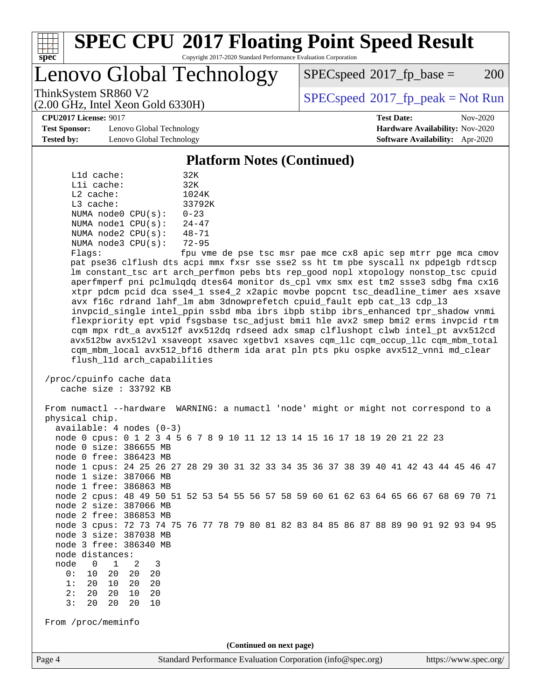

#### **[SPEC CPU](http://www.spec.org/auto/cpu2017/Docs/result-fields.html#SPECCPU2017FloatingPointSpeedResult)[2017 Floating Point Speed Result](http://www.spec.org/auto/cpu2017/Docs/result-fields.html#SPECCPU2017FloatingPointSpeedResult)** Copyright 2017-2020 Standard Performance Evaluation Corporation

Lenovo Global Technology

 $SPEC speed^{\circ}2017\_fp\_base = 200$ 

(2.00 GHz, Intel Xeon Gold 6330H)

ThinkSystem SR860 V2 [SPECspeed](http://www.spec.org/auto/cpu2017/Docs/result-fields.html#SPECspeed2017fppeak)[2017\\_fp\\_peak = N](http://www.spec.org/auto/cpu2017/Docs/result-fields.html#SPECspeed2017fppeak)ot Run

**[CPU2017 License:](http://www.spec.org/auto/cpu2017/Docs/result-fields.html#CPU2017License)** 9017 **[Test Date:](http://www.spec.org/auto/cpu2017/Docs/result-fields.html#TestDate)** Nov-2020

**[Test Sponsor:](http://www.spec.org/auto/cpu2017/Docs/result-fields.html#TestSponsor)** Lenovo Global Technology **[Hardware Availability:](http://www.spec.org/auto/cpu2017/Docs/result-fields.html#HardwareAvailability)** Nov-2020 **[Tested by:](http://www.spec.org/auto/cpu2017/Docs/result-fields.html#Testedby)** Lenovo Global Technology **[Software Availability:](http://www.spec.org/auto/cpu2017/Docs/result-fields.html#SoftwareAvailability)** Apr-2020

**[Platform Notes \(Continued\)](http://www.spec.org/auto/cpu2017/Docs/result-fields.html#PlatformNotes)**

|             | $L1d$ cache: |                         | 32K           |
|-------------|--------------|-------------------------|---------------|
|             | $L1i$ cache: |                         | 32K           |
| $L2$ cache: |              |                         | 1024K         |
| $L3$ cache: |              |                         | 33792K        |
|             |              | NUMA $node0$ $CPU(s)$ : | $0 - 23$      |
|             |              | NUMA $node1$ $CPU(s)$ : | $24 - 47$     |
|             |              | NUMA node2 CPU(s):      | $48 - 71$     |
|             |              | NUMA node3 CPU(s):      | $72 - 95$     |
|             |              |                         | $\sim$ $\sim$ |

Flags: fpu vme de pse tsc msr pae mce cx8 apic sep mtrr pge mca cmov pat pse36 clflush dts acpi mmx fxsr sse sse2 ss ht tm pbe syscall nx pdpe1gb rdtscp lm constant\_tsc art arch\_perfmon pebs bts rep\_good nopl xtopology nonstop\_tsc cpuid aperfmperf pni pclmulqdq dtes64 monitor ds\_cpl vmx smx est tm2 ssse3 sdbg fma cx16 xtpr pdcm pcid dca sse4\_1 sse4\_2 x2apic movbe popcnt tsc\_deadline\_timer aes xsave avx f16c rdrand lahf\_lm abm 3dnowprefetch cpuid\_fault epb cat\_l3 cdp\_l3 invpcid\_single intel\_ppin ssbd mba ibrs ibpb stibp ibrs\_enhanced tpr\_shadow vnmi flexpriority ept vpid fsgsbase tsc\_adjust bmi1 hle avx2 smep bmi2 erms invpcid rtm cqm mpx rdt\_a avx512f avx512dq rdseed adx smap clflushopt clwb intel\_pt avx512cd avx512bw avx512vl xsaveopt xsavec xgetbv1 xsaves cqm\_llc cqm\_occup\_llc cqm\_mbm\_total cqm\_mbm\_local avx512\_bf16 dtherm ida arat pln pts pku ospke avx512\_vnni md\_clear flush\_l1d arch\_capabilities

 /proc/cpuinfo cache data cache size : 33792 KB

 From numactl --hardware WARNING: a numactl 'node' might or might not correspond to a physical chip. available: 4 nodes (0-3) node 0 cpus: 0 1 2 3 4 5 6 7 8 9 10 11 12 13 14 15 16 17 18 19 20 21 22 23 node 0 size: 386655 MB node 0 free: 386423 MB node 1 cpus: 24 25 26 27 28 29 30 31 32 33 34 35 36 37 38 39 40 41 42 43 44 45 46 47 node 1 size: 387066 MB node 1 free: 386863 MB node 2 cpus: 48 49 50 51 52 53 54 55 56 57 58 59 60 61 62 63 64 65 66 67 68 69 70 71 node 2 size: 387066 MB node 2 free: 386853 MB node 3 cpus: 72 73 74 75 76 77 78 79 80 81 82 83 84 85 86 87 88 89 90 91 92 93 94 95 node 3 size: 387038 MB node 3 free: 386340 MB node distances: node 0 1 2 3 0: 10 20 20 20 1: 20 10 20 20 2: 20 20 10 20 3: 20 20 20 10 From /proc/meminfo **(Continued on next page)**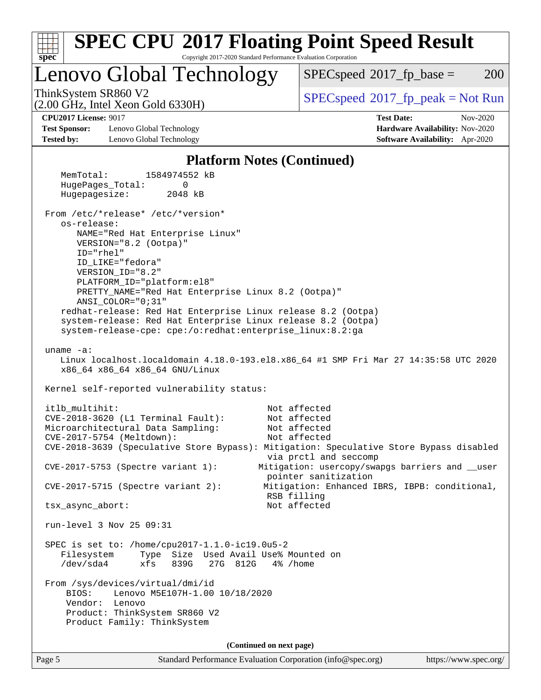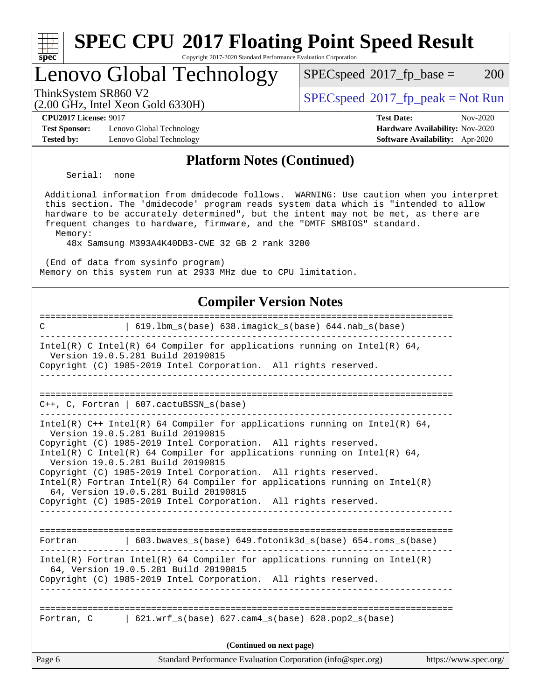| <b>SPEC CPU®2017 Floating Point Speed Result</b><br>Copyright 2017-2020 Standard Performance Evaluation Corporation<br>$spec*$                                                                                                                                                                                                                                                                                                                                                                                    |                                                                           |
|-------------------------------------------------------------------------------------------------------------------------------------------------------------------------------------------------------------------------------------------------------------------------------------------------------------------------------------------------------------------------------------------------------------------------------------------------------------------------------------------------------------------|---------------------------------------------------------------------------|
| Lenovo Global Technology                                                                                                                                                                                                                                                                                                                                                                                                                                                                                          | 200<br>$SPEC speed^{\circ}2017\_fp\_base =$                               |
| ThinkSystem SR860 V2<br>$(2.00 \text{ GHz}, \text{Intel Xeon Gold } 6330\text{H})$                                                                                                                                                                                                                                                                                                                                                                                                                                | $SPEC speed^{\circ}2017\_fp\_peak = Not Run$                              |
| <b>CPU2017 License: 9017</b>                                                                                                                                                                                                                                                                                                                                                                                                                                                                                      | <b>Test Date:</b><br>Nov-2020                                             |
| <b>Test Sponsor:</b><br>Lenovo Global Technology<br><b>Tested by:</b><br>Lenovo Global Technology                                                                                                                                                                                                                                                                                                                                                                                                                 | Hardware Availability: Nov-2020<br><b>Software Availability:</b> Apr-2020 |
| <b>Platform Notes (Continued)</b>                                                                                                                                                                                                                                                                                                                                                                                                                                                                                 |                                                                           |
| Serial:<br>none                                                                                                                                                                                                                                                                                                                                                                                                                                                                                                   |                                                                           |
| Additional information from dmidecode follows. WARNING: Use caution when you interpret<br>this section. The 'dmidecode' program reads system data which is "intended to allow<br>hardware to be accurately determined", but the intent may not be met, as there are<br>frequent changes to hardware, firmware, and the "DMTF SMBIOS" standard.<br>Memory:<br>48x Samsung M393A4K40DB3-CWE 32 GB 2 rank 3200<br>(End of data from sysinfo program)<br>Memory on this system run at 2933 MHz due to CPU limitation. |                                                                           |
| <b>Compiler Version Notes</b>                                                                                                                                                                                                                                                                                                                                                                                                                                                                                     |                                                                           |
| =======================<br>619.1bm_s(base) 638.imagick_s(base) 644.nab_s(base)<br>C                                                                                                                                                                                                                                                                                                                                                                                                                               |                                                                           |
| Intel(R) C Intel(R) 64 Compiler for applications running on Intel(R) 64,<br>Version 19.0.5.281 Build 20190815<br>Copyright (C) 1985-2019 Intel Corporation. All rights reserved.                                                                                                                                                                                                                                                                                                                                  | ------------------                                                        |
| $C++$ , C, Fortran   607.cactuBSSN_s(base)                                                                                                                                                                                                                                                                                                                                                                                                                                                                        |                                                                           |
| Intel(R) $C++$ Intel(R) 64 Compiler for applications running on Intel(R) 64,<br>Version 19.0.5.281 Build 20190815<br>Copyright (C) 1985-2019 Intel Corporation. All rights reserved.<br>Intel(R) C Intel(R) 64 Compiler for applications running on Intel(R) 64,<br>Version 19.0.5.281 Build 20190815                                                                                                                                                                                                             |                                                                           |
| Copyright (C) 1985-2019 Intel Corporation. All rights reserved.<br>$Intel(R)$ Fortran Intel(R) 64 Compiler for applications running on Intel(R)<br>64, Version 19.0.5.281 Build 20190815<br>Copyright (C) 1985-2019 Intel Corporation. All rights reserved.                                                                                                                                                                                                                                                       |                                                                           |
|                                                                                                                                                                                                                                                                                                                                                                                                                                                                                                                   |                                                                           |
| $603.bwaves_s(base) 649.fotonik3d_s(base) 654.roms_s(base)$<br>Fortran                                                                                                                                                                                                                                                                                                                                                                                                                                            |                                                                           |
| $Intel(R)$ Fortran Intel(R) 64 Compiler for applications running on Intel(R)<br>64, Version 19.0.5.281 Build 20190815<br>Copyright (C) 1985-2019 Intel Corporation. All rights reserved.                                                                                                                                                                                                                                                                                                                          |                                                                           |
| Fortran, $C = \begin{bmatrix} 621.wrf_s(base) & 627.cam4_s(base) & 628.pop2_s(base) \end{bmatrix}$                                                                                                                                                                                                                                                                                                                                                                                                                |                                                                           |
| (Continued on next page)                                                                                                                                                                                                                                                                                                                                                                                                                                                                                          |                                                                           |
| Page 6<br>Standard Performance Evaluation Corporation (info@spec.org)                                                                                                                                                                                                                                                                                                                                                                                                                                             | https://www.spec.org/                                                     |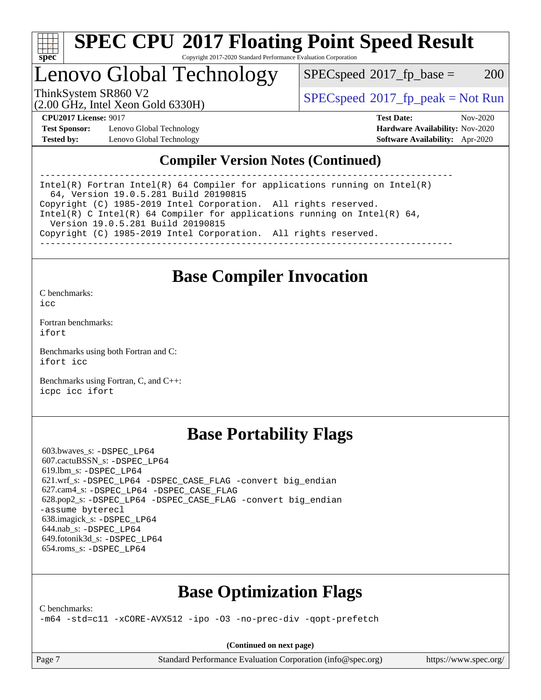

#### **[SPEC CPU](http://www.spec.org/auto/cpu2017/Docs/result-fields.html#SPECCPU2017FloatingPointSpeedResult)[2017 Floating Point Speed Result](http://www.spec.org/auto/cpu2017/Docs/result-fields.html#SPECCPU2017FloatingPointSpeedResult)** Copyright 2017-2020 Standard Performance Evaluation Corporation

Lenovo Global Technology

 $SPEC speed^{\circ}2017\_fp\_base = 200$ 

(2.00 GHz, Intel Xeon Gold 6330H)

ThinkSystem SR860 V2<br>  $\begin{array}{c}\n\text{SPEC speed} \text{?}2017 \text{ fp\_peak} = \text{Not Run} \\
\text{SPEC speed} \text{?}2017 \text{ fp\_peak} = \text{Not Run} \\
\end{array}$ 

**[Test Sponsor:](http://www.spec.org/auto/cpu2017/Docs/result-fields.html#TestSponsor)** Lenovo Global Technology **[Hardware Availability:](http://www.spec.org/auto/cpu2017/Docs/result-fields.html#HardwareAvailability)** Nov-2020 **[Tested by:](http://www.spec.org/auto/cpu2017/Docs/result-fields.html#Testedby)** Lenovo Global Technology **[Software Availability:](http://www.spec.org/auto/cpu2017/Docs/result-fields.html#SoftwareAvailability)** Apr-2020

**[CPU2017 License:](http://www.spec.org/auto/cpu2017/Docs/result-fields.html#CPU2017License)** 9017 **[Test Date:](http://www.spec.org/auto/cpu2017/Docs/result-fields.html#TestDate)** Nov-2020

### **[Compiler Version Notes \(Continued\)](http://www.spec.org/auto/cpu2017/Docs/result-fields.html#CompilerVersionNotes)**

------------------------------------------------------------------------------ Intel(R) Fortran Intel(R) 64 Compiler for applications running on Intel(R) 64, Version 19.0.5.281 Build 20190815 Copyright (C) 1985-2019 Intel Corporation. All rights reserved. Intel(R) C Intel(R) 64 Compiler for applications running on Intel(R) 64, Version 19.0.5.281 Build 20190815 Copyright (C) 1985-2019 Intel Corporation. All rights reserved. ------------------------------------------------------------------------------

### **[Base Compiler Invocation](http://www.spec.org/auto/cpu2017/Docs/result-fields.html#BaseCompilerInvocation)**

[C benchmarks](http://www.spec.org/auto/cpu2017/Docs/result-fields.html#Cbenchmarks):  $i$ cc

[Fortran benchmarks](http://www.spec.org/auto/cpu2017/Docs/result-fields.html#Fortranbenchmarks): [ifort](http://www.spec.org/cpu2017/results/res2020q4/cpu2017-20201207-24554.flags.html#user_FCbase_intel_ifort_8111460550e3ca792625aed983ce982f94888b8b503583aa7ba2b8303487b4d8a21a13e7191a45c5fd58ff318f48f9492884d4413fa793fd88dd292cad7027ca)

[Benchmarks using both Fortran and C](http://www.spec.org/auto/cpu2017/Docs/result-fields.html#BenchmarksusingbothFortranandC): [ifort](http://www.spec.org/cpu2017/results/res2020q4/cpu2017-20201207-24554.flags.html#user_CC_FCbase_intel_ifort_8111460550e3ca792625aed983ce982f94888b8b503583aa7ba2b8303487b4d8a21a13e7191a45c5fd58ff318f48f9492884d4413fa793fd88dd292cad7027ca) [icc](http://www.spec.org/cpu2017/results/res2020q4/cpu2017-20201207-24554.flags.html#user_CC_FCbase_intel_icc_66fc1ee009f7361af1fbd72ca7dcefbb700085f36577c54f309893dd4ec40d12360134090235512931783d35fd58c0460139e722d5067c5574d8eaf2b3e37e92)

[Benchmarks using Fortran, C, and C++:](http://www.spec.org/auto/cpu2017/Docs/result-fields.html#BenchmarksusingFortranCandCXX) [icpc](http://www.spec.org/cpu2017/results/res2020q4/cpu2017-20201207-24554.flags.html#user_CC_CXX_FCbase_intel_icpc_c510b6838c7f56d33e37e94d029a35b4a7bccf4766a728ee175e80a419847e808290a9b78be685c44ab727ea267ec2f070ec5dc83b407c0218cded6866a35d07) [icc](http://www.spec.org/cpu2017/results/res2020q4/cpu2017-20201207-24554.flags.html#user_CC_CXX_FCbase_intel_icc_66fc1ee009f7361af1fbd72ca7dcefbb700085f36577c54f309893dd4ec40d12360134090235512931783d35fd58c0460139e722d5067c5574d8eaf2b3e37e92) [ifort](http://www.spec.org/cpu2017/results/res2020q4/cpu2017-20201207-24554.flags.html#user_CC_CXX_FCbase_intel_ifort_8111460550e3ca792625aed983ce982f94888b8b503583aa7ba2b8303487b4d8a21a13e7191a45c5fd58ff318f48f9492884d4413fa793fd88dd292cad7027ca)

### **[Base Portability Flags](http://www.spec.org/auto/cpu2017/Docs/result-fields.html#BasePortabilityFlags)**

 603.bwaves\_s: [-DSPEC\\_LP64](http://www.spec.org/cpu2017/results/res2020q4/cpu2017-20201207-24554.flags.html#suite_basePORTABILITY603_bwaves_s_DSPEC_LP64) 607.cactuBSSN\_s: [-DSPEC\\_LP64](http://www.spec.org/cpu2017/results/res2020q4/cpu2017-20201207-24554.flags.html#suite_basePORTABILITY607_cactuBSSN_s_DSPEC_LP64) 619.lbm\_s: [-DSPEC\\_LP64](http://www.spec.org/cpu2017/results/res2020q4/cpu2017-20201207-24554.flags.html#suite_basePORTABILITY619_lbm_s_DSPEC_LP64) 621.wrf\_s: [-DSPEC\\_LP64](http://www.spec.org/cpu2017/results/res2020q4/cpu2017-20201207-24554.flags.html#suite_basePORTABILITY621_wrf_s_DSPEC_LP64) [-DSPEC\\_CASE\\_FLAG](http://www.spec.org/cpu2017/results/res2020q4/cpu2017-20201207-24554.flags.html#b621.wrf_s_baseCPORTABILITY_DSPEC_CASE_FLAG) [-convert big\\_endian](http://www.spec.org/cpu2017/results/res2020q4/cpu2017-20201207-24554.flags.html#user_baseFPORTABILITY621_wrf_s_convert_big_endian_c3194028bc08c63ac5d04de18c48ce6d347e4e562e8892b8bdbdc0214820426deb8554edfa529a3fb25a586e65a3d812c835984020483e7e73212c4d31a38223) 627.cam4\_s: [-DSPEC\\_LP64](http://www.spec.org/cpu2017/results/res2020q4/cpu2017-20201207-24554.flags.html#suite_basePORTABILITY627_cam4_s_DSPEC_LP64) [-DSPEC\\_CASE\\_FLAG](http://www.spec.org/cpu2017/results/res2020q4/cpu2017-20201207-24554.flags.html#b627.cam4_s_baseCPORTABILITY_DSPEC_CASE_FLAG) 628.pop2\_s: [-DSPEC\\_LP64](http://www.spec.org/cpu2017/results/res2020q4/cpu2017-20201207-24554.flags.html#suite_basePORTABILITY628_pop2_s_DSPEC_LP64) [-DSPEC\\_CASE\\_FLAG](http://www.spec.org/cpu2017/results/res2020q4/cpu2017-20201207-24554.flags.html#b628.pop2_s_baseCPORTABILITY_DSPEC_CASE_FLAG) [-convert big\\_endian](http://www.spec.org/cpu2017/results/res2020q4/cpu2017-20201207-24554.flags.html#user_baseFPORTABILITY628_pop2_s_convert_big_endian_c3194028bc08c63ac5d04de18c48ce6d347e4e562e8892b8bdbdc0214820426deb8554edfa529a3fb25a586e65a3d812c835984020483e7e73212c4d31a38223) [-assume byterecl](http://www.spec.org/cpu2017/results/res2020q4/cpu2017-20201207-24554.flags.html#user_baseFPORTABILITY628_pop2_s_assume_byterecl_7e47d18b9513cf18525430bbf0f2177aa9bf368bc7a059c09b2c06a34b53bd3447c950d3f8d6c70e3faf3a05c8557d66a5798b567902e8849adc142926523472) 638.imagick\_s: [-DSPEC\\_LP64](http://www.spec.org/cpu2017/results/res2020q4/cpu2017-20201207-24554.flags.html#suite_basePORTABILITY638_imagick_s_DSPEC_LP64) 644.nab\_s: [-DSPEC\\_LP64](http://www.spec.org/cpu2017/results/res2020q4/cpu2017-20201207-24554.flags.html#suite_basePORTABILITY644_nab_s_DSPEC_LP64) 649.fotonik3d\_s: [-DSPEC\\_LP64](http://www.spec.org/cpu2017/results/res2020q4/cpu2017-20201207-24554.flags.html#suite_basePORTABILITY649_fotonik3d_s_DSPEC_LP64) 654.roms\_s: [-DSPEC\\_LP64](http://www.spec.org/cpu2017/results/res2020q4/cpu2017-20201207-24554.flags.html#suite_basePORTABILITY654_roms_s_DSPEC_LP64)

### **[Base Optimization Flags](http://www.spec.org/auto/cpu2017/Docs/result-fields.html#BaseOptimizationFlags)**

[C benchmarks](http://www.spec.org/auto/cpu2017/Docs/result-fields.html#Cbenchmarks):

[-m64](http://www.spec.org/cpu2017/results/res2020q4/cpu2017-20201207-24554.flags.html#user_CCbase_m64-icc) [-std=c11](http://www.spec.org/cpu2017/results/res2020q4/cpu2017-20201207-24554.flags.html#user_CCbase_std-icc-std_0e1c27790398a4642dfca32ffe6c27b5796f9c2d2676156f2e42c9c44eaad0c049b1cdb667a270c34d979996257aeb8fc440bfb01818dbc9357bd9d174cb8524) [-xCORE-AVX512](http://www.spec.org/cpu2017/results/res2020q4/cpu2017-20201207-24554.flags.html#user_CCbase_f-xCORE-AVX512) [-ipo](http://www.spec.org/cpu2017/results/res2020q4/cpu2017-20201207-24554.flags.html#user_CCbase_f-ipo) [-O3](http://www.spec.org/cpu2017/results/res2020q4/cpu2017-20201207-24554.flags.html#user_CCbase_f-O3) [-no-prec-div](http://www.spec.org/cpu2017/results/res2020q4/cpu2017-20201207-24554.flags.html#user_CCbase_f-no-prec-div) [-qopt-prefetch](http://www.spec.org/cpu2017/results/res2020q4/cpu2017-20201207-24554.flags.html#user_CCbase_f-qopt-prefetch)

**(Continued on next page)**

Page 7 Standard Performance Evaluation Corporation [\(info@spec.org\)](mailto:info@spec.org) <https://www.spec.org/>